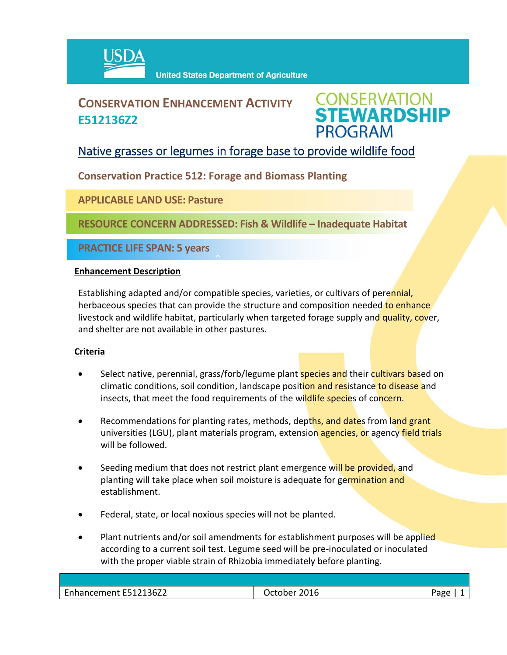

# **CONSERVATION ENHANCEMENT ACTIVITY E512136Z2**



## Native grasses or legumes in forage base to provide wildlife food

### **Conservation Practice 512: Forage and Biomass Planting**

 $\hat{a}$ 

**APPLICABLE LAND USE: Pasture**

**RESOURCE CONCERN ADDRESSED: Fish & Wildlife – Inadequate Habitat**

**PRACTICE LIFE SPAN: 5 years**

#### **Enhancement Description**

Establishing adapted and/or compatible species, varieties, or cultivars of perennial, herbaceous species that can provide the structure and composition needed to enhance livestock and wildlife habitat, particularly when targeted forage supply and quality, cover, and shelter are not available in other pastures.

#### **Criteria**

- Select native, perennial, grass/forb/legume plant **species and** their cultivars based on climatic conditions, soil condition, landscape position and resistance to disease and insects, that meet the food requirements of the wildlife species of concern.
- Recommendations for planting rates, methods, depths, and dates from land grant universities (LGU), plant materials program, extension agencies, or agency field trials will be followed.
- Seeding medium that does not restrict plant emergence will be provided, and planting will take place when soil moisture is adequate for germination and establishment.
- Federal, state, or local noxious species will not be planted.
- Plant nutrients and/or soil amendments for establishment purposes will be applied according to a current soil test. Legume seed will be pre‐inoculated or inoculated with the proper viable strain of Rhizobia immediately before planting.

| $\cdots$<br><b>r</b><br>36Z2<br>-------<br>. | 2N 1 F<br>____ | 322<br>٠o |
|----------------------------------------------|----------------|-----------|
|                                              |                |           |